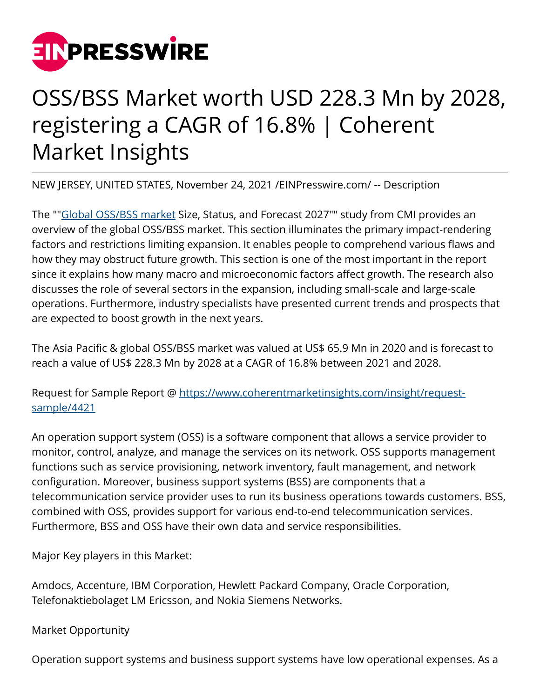

## OSS/BSS Market worth USD 228.3 Mn by 2028, registering a CAGR of 16.8% | Coherent Market Insights

NEW JERSEY, UNITED STATES, November 24, 2021 /[EINPresswire.com/](http://www.einpresswire.com) -- Description

The "["Global OSS/BSS market](https://www.coherentmarketinsights.com/market-insight/asia-pacific-and-global-ossbss-market-4421) Size, Status, and Forecast 2027"" study from CMI provides an overview of the global OSS/BSS market. This section illuminates the primary impact-rendering factors and restrictions limiting expansion. It enables people to comprehend various flaws and how they may obstruct future growth. This section is one of the most important in the report since it explains how many macro and microeconomic factors affect growth. The research also discusses the role of several sectors in the expansion, including small-scale and large-scale operations. Furthermore, industry specialists have presented current trends and prospects that are expected to boost growth in the next years.

The Asia Pacific & global OSS/BSS market was valued at US\$ 65.9 Mn in 2020 and is forecast to reach a value of US\$ 228.3 Mn by 2028 at a CAGR of 16.8% between 2021 and 2028.

Request for Sample Report @ [https://www.coherentmarketinsights.com/insight/request](https://www.coherentmarketinsights.com/insight/request-sample/4421)[sample/4421](https://www.coherentmarketinsights.com/insight/request-sample/4421)

An operation support system (OSS) is a software component that allows a service provider to monitor, control, analyze, and manage the services on its network. OSS supports management functions such as service provisioning, network inventory, fault management, and network configuration. Moreover, business support systems (BSS) are components that a telecommunication service provider uses to run its business operations towards customers. BSS, combined with OSS, provides support for various end-to-end telecommunication services. Furthermore, BSS and OSS have their own data and service responsibilities.

Major Key players in this Market:

Amdocs, Accenture, IBM Corporation, Hewlett Packard Company, Oracle Corporation, Telefonaktiebolaget LM Ericsson, and Nokia Siemens Networks.

Market Opportunity

Operation support systems and business support systems have low operational expenses. As a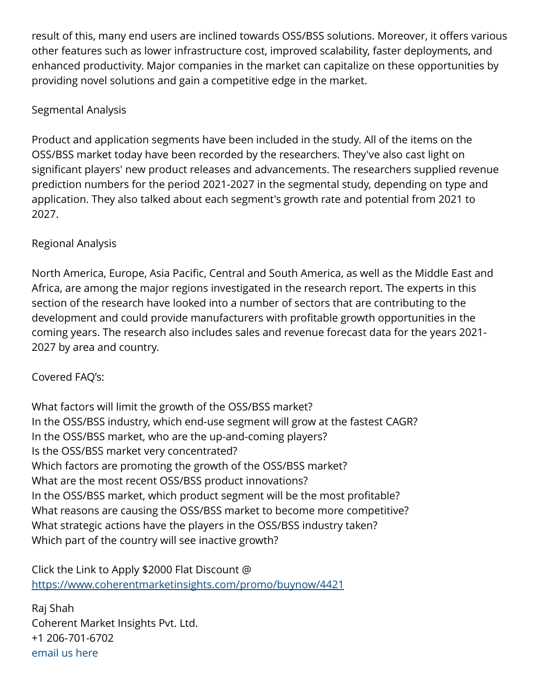result of this, many end users are inclined towards OSS/BSS solutions. Moreover, it offers various other features such as lower infrastructure cost, improved scalability, faster deployments, and enhanced productivity. Major companies in the market can capitalize on these opportunities by providing novel solutions and gain a competitive edge in the market.

## Segmental Analysis

Product and application segments have been included in the study. All of the items on the OSS/BSS market today have been recorded by the researchers. They've also cast light on significant players' new product releases and advancements. The researchers supplied revenue prediction numbers for the period 2021-2027 in the segmental study, depending on type and application. They also talked about each segment's growth rate and potential from 2021 to 2027.

## Regional Analysis

North America, Europe, Asia Pacific, Central and South America, as well as the Middle East and Africa, are among the major regions investigated in the research report. The experts in this section of the research have looked into a number of sectors that are contributing to the development and could provide manufacturers with profitable growth opportunities in the coming years. The research also includes sales and revenue forecast data for the years 2021- 2027 by area and country.

## Covered FAQ's:

What factors will limit the growth of the OSS/BSS market? In the OSS/BSS industry, which end-use segment will grow at the fastest CAGR? In the OSS/BSS market, who are the up-and-coming players? Is the OSS/BSS market very concentrated? Which factors are promoting the growth of the OSS/BSS market? What are the most recent OSS/BSS product innovations? In the OSS/BSS market, which product segment will be the most profitable? What reasons are causing the OSS/BSS market to become more competitive? What strategic actions have the players in the OSS/BSS industry taken? Which part of the country will see inactive growth?

Click the Link to Apply \$2000 Flat Discount @ <https://www.coherentmarketinsights.com/promo/buynow/4421>

Raj Shah Coherent Market Insights Pvt. Ltd. +1 206-701-6702 [email us here](http://www.einpresswire.com/contact_author/3203756)